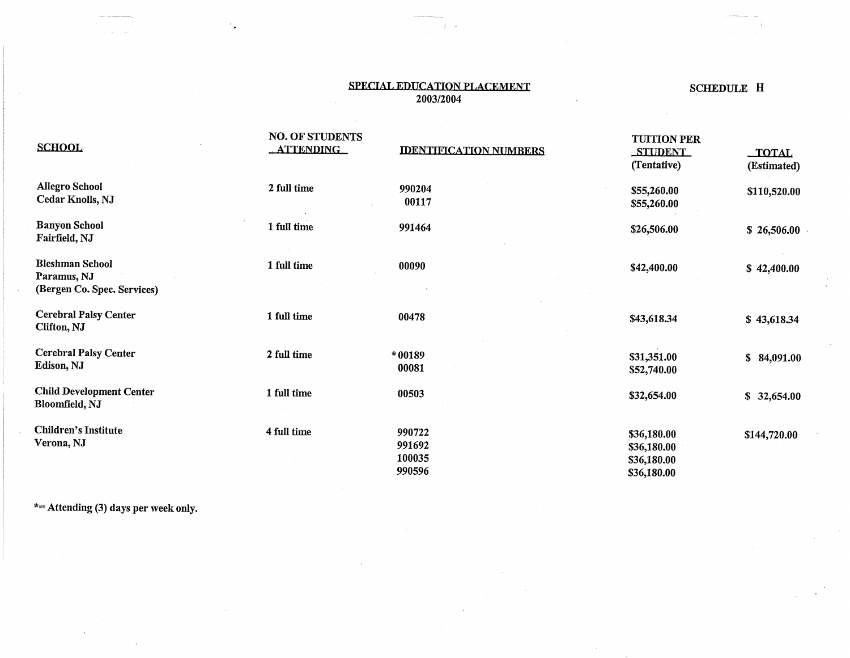## SPECIAL EDUCATION PLACEMENT 2003/2004

# SCHEDULE H

| <b>SCHOOL</b>                                                        | <b>NO. OF STUDENTS</b><br><b>ATTENDING</b> | <b>IDENTIFICATION NUMBERS</b>        | <b>TUITION PER</b><br><b>STUDENT</b><br>(Tentative)      | <b>TOTAL</b><br>(Estimated) |
|----------------------------------------------------------------------|--------------------------------------------|--------------------------------------|----------------------------------------------------------|-----------------------------|
| <b>Allegro School</b><br>Cedar Knolls, NJ                            | 2 full time                                | 990204<br>00117                      | \$55,260.00<br>\$55,260.00                               | \$110,520.00                |
| <b>Banyon School</b><br>Fairfield, NJ                                | 1 full time                                | 991464                               | \$26,506.00                                              | \$26,506.00                 |
| <b>Bleshman School</b><br>Paramus, NJ<br>(Bergen Co. Spec. Services) | 1 full time                                | 00090                                | \$42,400.00                                              | \$42,400.00                 |
| <b>Cerebral Palsy Center</b><br>Clifton, NJ                          | 1 full time                                | 00478                                | \$43,618.34                                              | \$43,618.34                 |
| <b>Cerebral Palsy Center</b><br>Edison, NJ                           | 2 full time                                | $*00189$<br>00081                    | \$31,351.00<br>\$52,740.00                               | \$84,091.00                 |
| <b>Child Development Center</b><br>Bloomfield, NJ                    | 1 full time                                | 00503                                | \$32,654.00                                              | \$32,654.00                 |
| <b>Children's Institute</b><br>Verona, NJ                            | 4 full time                                | 990722<br>991692<br>100035<br>990596 | \$36,180.00<br>\$36,180.00<br>\$36,180.00<br>\$36,180.00 | \$144,720.00                |

\*= Attending (3) days per week only.

٠.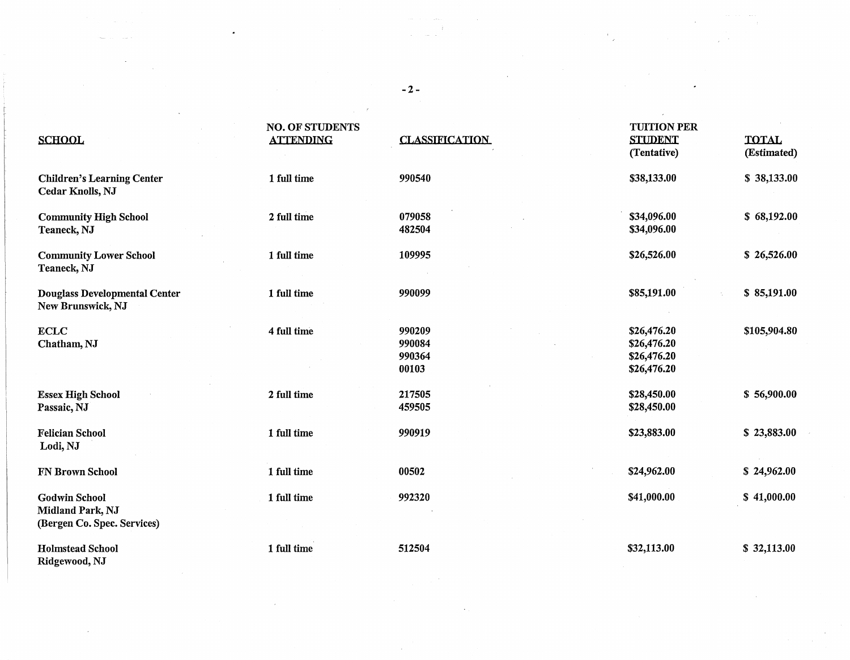# NO. OF STUDENTS<br>ATTENDING CLASSIFICATION CLASSIFICATION SCHOOL ATTENDING C1,ASS1E1CATTON SJJIDENI TOTAi, (Tentative) (Estimated) Children's Learning Center 1 full time 990540 **838,133.00** \$38,133.00 \$38,133.00 Cedar Knolls, NJ Community High School 2 full time 079058 \$34,096.00 \$68,192.00 \$68,192.00 \$68,192.00 Teaneck, NJ \$34,096.00 \$334,096.00 \$34,096.00 \$34,096.00 \$34,096.00 \$34,096.00 \$354,096.00 Community Lower School 1 full time 109995 5 26,526.00 \$26,526.00 \$26,526.00 Teaneck, NJ Douglass Developmental Center 1 full time 990099 900099 \$85,191.00 \$85,191.00 \$85,191.00 New Brunswick, NJ ECLC 4 full time 990209 \$26,476.20 \$105,904.80 Chatham,NJ 990084 \$26,476.20 990364 \$26,476.20 00103 \$26,476.20 Essex High School 2 full time 217505 56,900.00 \$28,450.00 \$56,900.00<br>Passaic, NJ 828,450.00 \$28,450.00 Passaic, NJ **59.450.00** \$28,450.00 \$28,450.00 \$28,450.00 \$28,450.00 \$28,450.00 \$28,450.00 \$28,450.00 \$28,450.00 Felician School 1 full time 990919 \$23,883.00 \$ 23,883.00 Lodi,NJ FN Brown School 1 full time 00502 \$24,962.00 \$ 24,962.00 Godwin School 1 full time 992320 \$41,000.00 \$ 41,000.00

Holmstead School 1 full time 512504 \$32,113.00 \$ 32,113.00

Midland Park, NJ

Ridgewood, NJ

(Bergen Co. Spec. Services)

-2-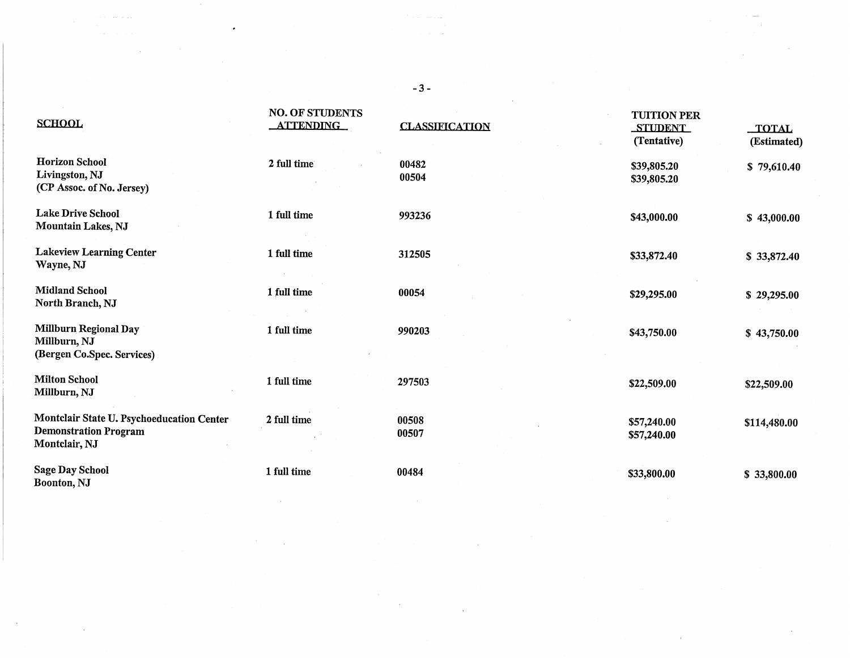| <b>SCHOOL</b>                                                                              | <b>NO. OF STUDENTS</b><br><b>ATTENDING</b> | <b>CLASSIFICATION</b> | <b>TUITION PER</b><br><b>STUDENT</b><br>(Tentative) | TOTAL<br>(Estimated) |
|--------------------------------------------------------------------------------------------|--------------------------------------------|-----------------------|-----------------------------------------------------|----------------------|
| <b>Horizon School</b><br>Livingston, NJ<br>(CP Assoc. of No. Jersey)                       | 2 full time                                | 00482<br>00504        | \$39,805.20<br>\$39,805.20                          | \$79,610.40          |
| <b>Lake Drive School</b><br><b>Mountain Lakes, NJ</b>                                      | 1 full time                                | 993236                | \$43,000.00                                         | \$43,000.00          |
| <b>Lakeview Learning Center</b><br>Wayne, NJ                                               | 1 full time                                | 312505                | \$33,872.40                                         | \$33,872.40          |
| <b>Midland School</b><br>North Branch, NJ                                                  | 1 full time                                | 00054                 | \$29,295.00                                         | \$29,295.00          |
| <b>Millburn Regional Day</b><br>Millburn, NJ<br>(Bergen Co.Spec. Services)                 | 1 full time                                | 990203                | \$43,750.00                                         | \$43,750.00          |
| <b>Milton School</b><br>Millburn, NJ                                                       | 1 full time                                | 297503                | \$22,509.00                                         | \$22,509.00          |
| Montclair State U. Psychoeducation Center<br><b>Demonstration Program</b><br>Montclair, NJ | 2 full time                                | 00508<br>00507        | \$57,240.00<br>\$57,240.00                          | \$114,480.00         |
| <b>Sage Day School</b><br>Boonton, NJ                                                      | 1 full time                                | 00484                 | \$33,800.00                                         | \$33,800.00          |

 $\mathcal{O}(10^4\, \mathrm{Mpc})$  . The contract of the contract of the contract of the contract of the contract of the contract of the contract of the contract of the contract of the contract of the contract of the contract of the co

 $\label{eq:2.1} \mathcal{F}^{\text{in}}_{\text{in}}(\mathcal{A}) = \mathcal{F}^{\text{in}}_{\text{in}}(\mathcal{A}) = \mathcal{F}^{\text{in}}_{\text{in}}(\mathcal{A}) = \mathcal{F}^{\text{in}}_{\text{in}}(\mathcal{A}) = \mathcal{F}^{\text{in}}_{\text{in}}(\mathcal{A}) = \mathcal{F}^{\text{in}}_{\text{in}}(\mathcal{A}) = \mathcal{F}^{\text{in}}_{\text{in}}(\mathcal{A}) = \mathcal{F}^{\text{in}}_{\text{in}}(\mathcal{A}) = \mathcal{F}^{\text{in$ 

 $\sim 10^{11}$ 

 $\mathcal{L}^{\mathcal{L}}(\mathcal{A})$  and  $\mathcal{L}^{\mathcal{L}}(\mathcal{A})$  and  $\mathcal{L}^{\mathcal{L}}(\mathcal{A})$ 

 $\label{eq:2.1} \frac{1}{\sqrt{2}}\left(\frac{1}{\sqrt{2}}\right)^{2} \left(\frac{1}{\sqrt{2}}\right)^{2} \left(\frac{1}{\sqrt{2}}\right)^{2}$ 

-3-

 $\sim 20$ 

 $\sim 10^{-1}$ 

 $\sim 200$ 

 $\bullet$  , and  $\bullet$  , and  $\bullet$  , and  $\bullet$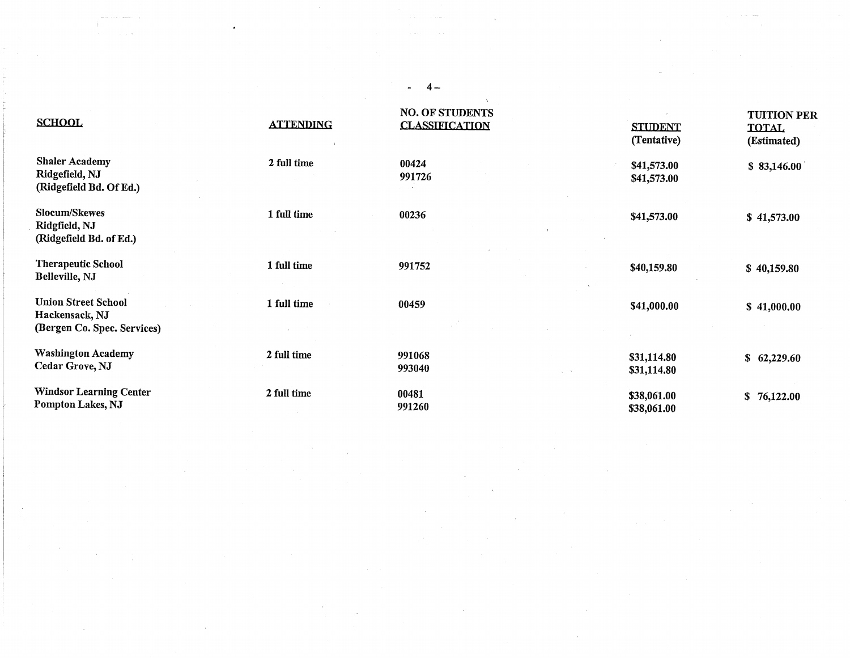| <b>SCHOOL</b>                                                               | <b>ATTENDING</b> | <b>NO. OF STUDENTS</b><br><b>CLASSIFICATION</b> | <b>STUDENT</b><br>(Tentative) | <b>TUITION PER</b><br><b>TOTAL</b><br>(Estimated) |
|-----------------------------------------------------------------------------|------------------|-------------------------------------------------|-------------------------------|---------------------------------------------------|
| <b>Shaler Academy</b><br>Ridgefield, NJ<br>(Ridgefield Bd. Of Ed.)          | 2 full time      | 00424<br>991726                                 | \$41,573.00<br>\$41,573.00    | \$83,146.00                                       |
| <b>Slocum/Skewes</b><br>Ridgfield, NJ<br>(Ridgefield Bd. of Ed.)            | 1 full time      | 00236                                           | \$41,573.00                   | \$41,573.00                                       |
| <b>Therapeutic School</b><br>Belleville, NJ                                 | 1 full time      | 991752                                          | \$40,159.80                   | \$40,159.80                                       |
| <b>Union Street School</b><br>Hackensack, NJ<br>(Bergen Co. Spec. Services) | 1 full time      | 00459                                           | \$41,000.00                   | \$41,000.00                                       |
| <b>Washington Academy</b><br>Cedar Grove, NJ                                | 2 full time      | 991068<br>993040                                | \$31,114.80<br>\$31,114.80    | \$62,229.60                                       |
| <b>Windsor Learning Center</b><br>Pompton Lakes, NJ                         | 2 full time      | 00481<br>991260                                 | \$38,061.00<br>\$38,061.00    | \$76,122.00                                       |

 $\sim$ 

 $\sim$ 

 $\mathcal{L}^{\mathcal{L}}(\mathcal{A})$  and  $\mathcal{L}^{\mathcal{L}}(\mathcal{A})$  and  $\mathcal{L}^{\mathcal{L}}(\mathcal{A})$ 

 $-4-$ 

 $\mathcal{A}(\mathcal{A})$  is a subset of the set of  $\mathcal{A}(\mathcal{A})$  . The set of the set of  $\mathcal{A}(\mathcal{A})$